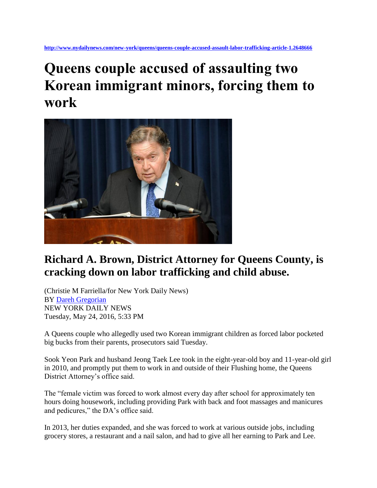**<http://www.nydailynews.com/new-york/queens/queens-couple-accused-assault-labor-trafficking-article-1.2648666>**

## **Queens couple accused of assaulting two Korean immigrant minors, forcing them to work**



## **Richard A. Brown, District Attorney for Queens County, is cracking down on labor trafficking and child abuse.**

(Christie M Farriella/for New York Daily News) BY [Dareh Gregorian](http://www.nydailynews.com/authors?author=Dareh-Gregorian) NEW YORK DAILY NEWS Tuesday, May 24, 2016, 5:33 PM

A Queens couple who allegedly used two Korean immigrant children as forced labor pocketed big bucks from their parents, prosecutors said Tuesday.

Sook Yeon Park and husband Jeong Taek Lee took in the eight-year-old boy and 11-year-old girl in 2010, and promptly put them to work in and outside of their Flushing home, the Queens District Attorney's office said.

The "female victim was forced to work almost every day after school for approximately ten hours doing housework, including providing Park with back and foot massages and manicures and pedicures," the DA's office said.

In 2013, her duties expanded, and she was forced to work at various outside jobs, including grocery stores, a restaurant and a nail salon, and had to give all her earning to Park and Lee.